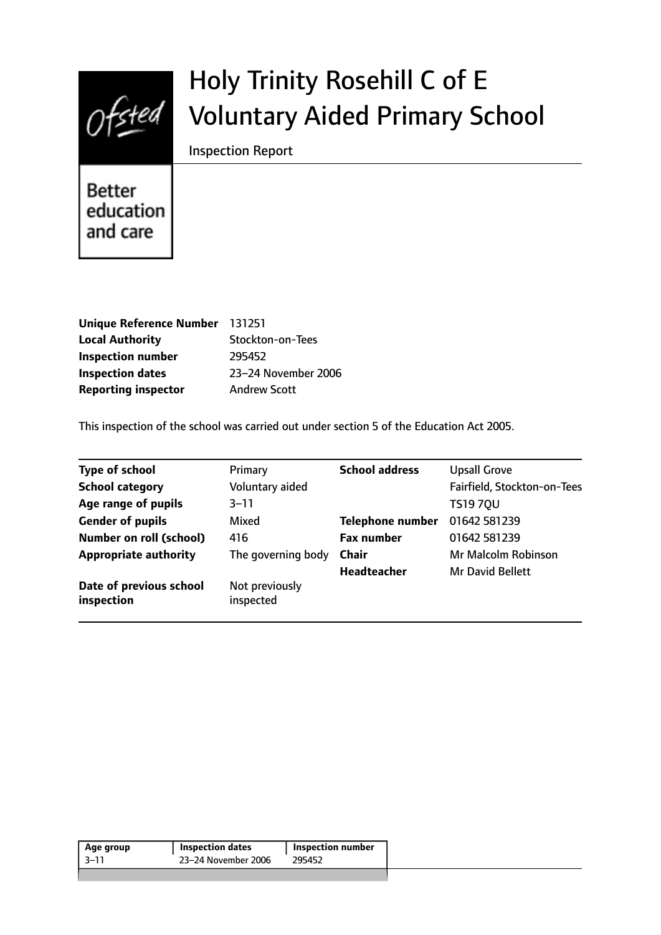

# Holy Trinity Rosehill C of E Voluntary Aided Primary School

Inspection Report

**Better** education and care

| Unique Reference Number 131251 |
|--------------------------------|
| Stockton-on-Tees               |
| 295452                         |
| 23-24 November 2006            |
| <b>Andrew Scott</b>            |
|                                |

This inspection of the school was carried out under section 5 of the Education Act 2005.

| Primary                     | <b>School address</b>   | <b>Upsall Grove</b>         |
|-----------------------------|-------------------------|-----------------------------|
| Voluntary aided             |                         | Fairfield, Stockton-on-Tees |
| $3 - 11$                    |                         | <b>TS1970U</b>              |
| Mixed                       | <b>Telephone number</b> | 01642 581239                |
| 416                         | <b>Fax number</b>       | 01642 581239                |
| The governing body          | <b>Chair</b>            | Mr Malcolm Robinson         |
|                             | <b>Headteacher</b>      | Mr David Bellett            |
| Not previously<br>inspected |                         |                             |
|                             |                         |                             |

| 23–24 November 2006<br>3–11<br>295452 | Age group | <b>Inspection dates</b> | Inspection number |  |
|---------------------------------------|-----------|-------------------------|-------------------|--|
|                                       |           |                         |                   |  |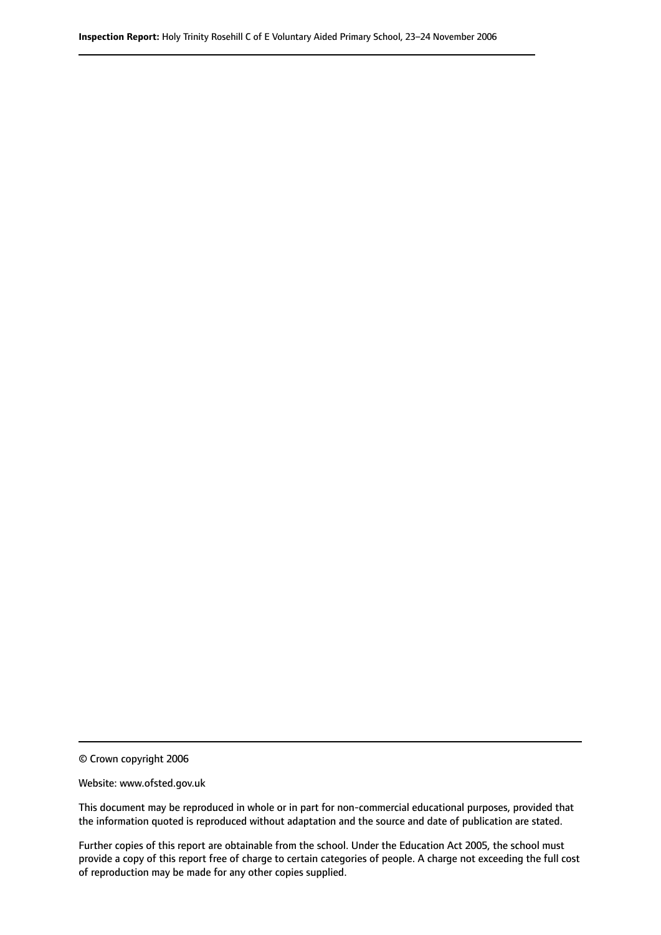© Crown copyright 2006

Website: www.ofsted.gov.uk

This document may be reproduced in whole or in part for non-commercial educational purposes, provided that the information quoted is reproduced without adaptation and the source and date of publication are stated.

Further copies of this report are obtainable from the school. Under the Education Act 2005, the school must provide a copy of this report free of charge to certain categories of people. A charge not exceeding the full cost of reproduction may be made for any other copies supplied.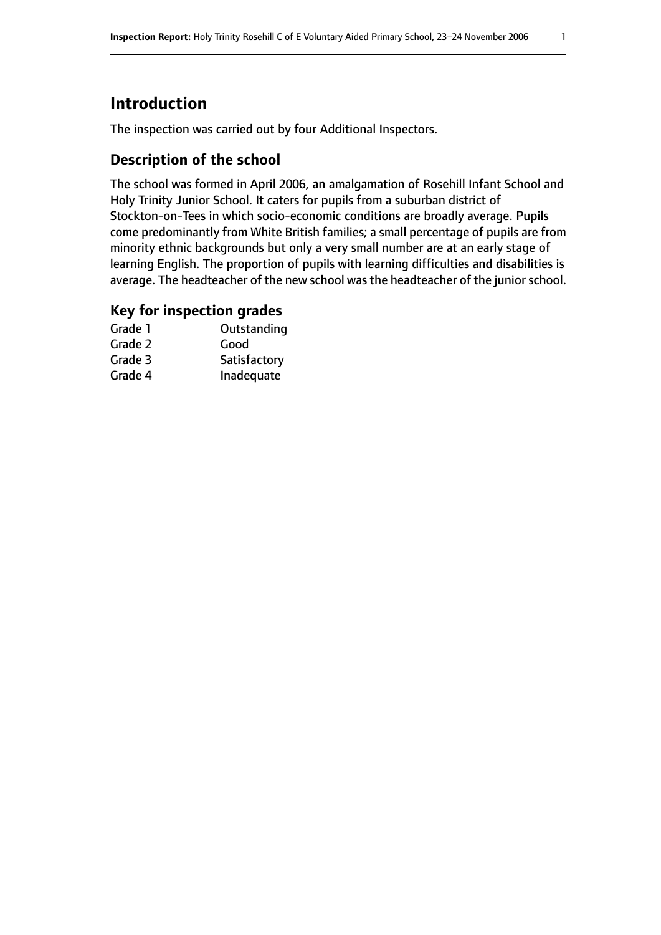# **Introduction**

The inspection was carried out by four Additional Inspectors.

#### **Description of the school**

The school was formed in April 2006, an amalgamation of Rosehill Infant School and Holy Trinity Junior School. It caters for pupils from a suburban district of Stockton-on-Tees in which socio-economic conditions are broadly average. Pupils come predominantly from White British families; a small percentage of pupils are from minority ethnic backgrounds but only a very small number are at an early stage of learning English. The proportion of pupils with learning difficulties and disabilities is average. The headteacher of the new school was the headteacher of the junior school.

#### **Key for inspection grades**

| Grade 1 | Outstanding  |
|---------|--------------|
| Grade 2 | Good         |
| Grade 3 | Satisfactory |
| Grade 4 | Inadequate   |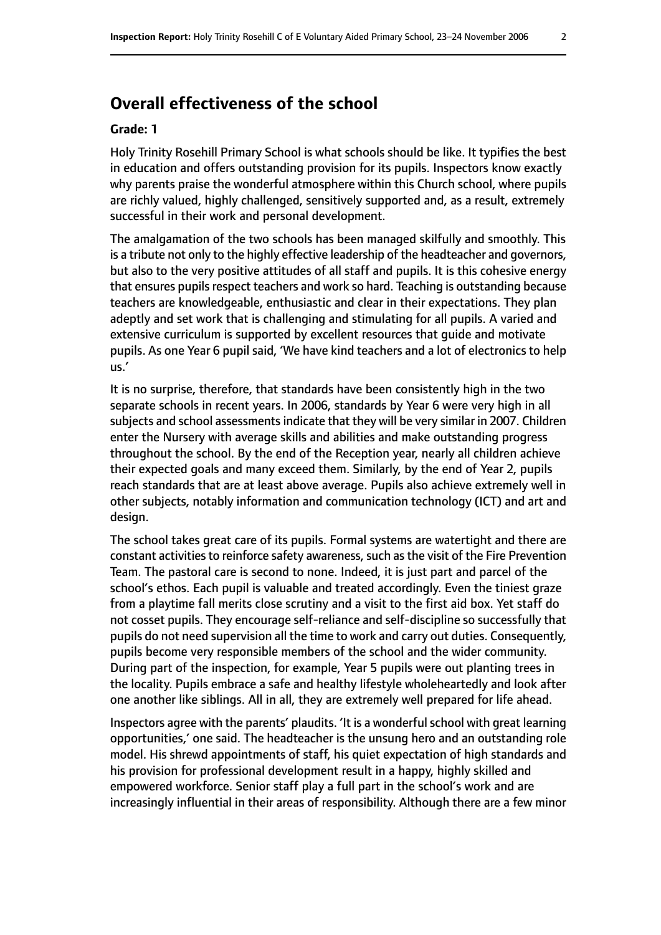## **Overall effectiveness of the school**

#### **Grade: 1**

Holy Trinity Rosehill Primary School is what schools should be like. It typifies the best in education and offers outstanding provision for its pupils. Inspectors know exactly why parents praise the wonderful atmosphere within this Church school, where pupils are richly valued, highly challenged, sensitively supported and, as a result, extremely successful in their work and personal development.

The amalgamation of the two schools has been managed skilfully and smoothly. This is a tribute not only to the highly effective leadership of the headteacher and governors, but also to the very positive attitudes of all staff and pupils. It is this cohesive energy that ensures pupils respect teachers and work so hard. Teaching is outstanding because teachers are knowledgeable, enthusiastic and clear in their expectations. They plan adeptly and set work that is challenging and stimulating for all pupils. A varied and extensive curriculum is supported by excellent resources that guide and motivate pupils. As one Year 6 pupil said, 'We have kind teachers and a lot of electronics to help us.'

It is no surprise, therefore, that standards have been consistently high in the two separate schools in recent years. In 2006, standards by Year 6 were very high in all subjects and school assessments indicate that they will be very similar in 2007. Children enter the Nursery with average skills and abilities and make outstanding progress throughout the school. By the end of the Reception year, nearly all children achieve their expected goals and many exceed them. Similarly, by the end of Year 2, pupils reach standards that are at least above average. Pupils also achieve extremely well in other subjects, notably information and communication technology (ICT) and art and design.

The school takes great care of its pupils. Formal systems are watertight and there are constant activities to reinforce safety awareness, such as the visit of the Fire Prevention Team. The pastoral care is second to none. Indeed, it is just part and parcel of the school's ethos. Each pupil is valuable and treated accordingly. Even the tiniest graze from a playtime fall merits close scrutiny and a visit to the first aid box. Yet staff do not cosset pupils. They encourage self-reliance and self-discipline so successfully that pupils do not need supervision all the time to work and carry out duties. Consequently, pupils become very responsible members of the school and the wider community. During part of the inspection, for example, Year 5 pupils were out planting trees in the locality. Pupils embrace a safe and healthy lifestyle wholeheartedly and look after one another like siblings. All in all, they are extremely well prepared for life ahead.

Inspectors agree with the parents' plaudits. 'It is a wonderful school with great learning opportunities,' one said. The headteacher is the unsung hero and an outstanding role model. His shrewd appointments of staff, his quiet expectation of high standards and his provision for professional development result in a happy, highly skilled and empowered workforce. Senior staff play a full part in the school's work and are increasingly influential in their areas of responsibility. Although there are a few minor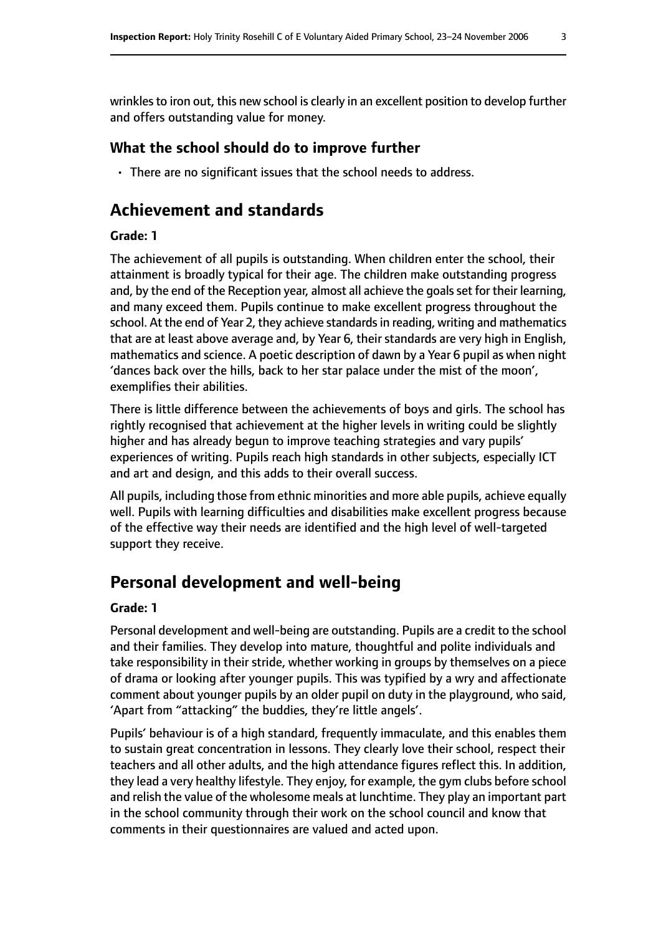wrinkles to iron out, this new school is clearly in an excellent position to develop further and offers outstanding value for money.

### **What the school should do to improve further**

• There are no significant issues that the school needs to address.

# **Achievement and standards**

#### **Grade: 1**

The achievement of all pupils is outstanding. When children enter the school, their attainment is broadly typical for their age. The children make outstanding progress and, by the end of the Reception year, almost all achieve the goals set for their learning, and many exceed them. Pupils continue to make excellent progress throughout the school. At the end of Year 2, they achieve standards in reading, writing and mathematics that are at least above average and, by Year 6, their standards are very high in English, mathematics and science. A poetic description of dawn by a Year 6 pupil as when night 'dances back over the hills, back to her star palace under the mist of the moon', exemplifies their abilities.

There is little difference between the achievements of boys and girls. The school has rightly recognised that achievement at the higher levels in writing could be slightly higher and has already begun to improve teaching strategies and vary pupils' experiences of writing. Pupils reach high standards in other subjects, especially ICT and art and design, and this adds to their overall success.

All pupils, including those from ethnic minorities and more able pupils, achieve equally well. Pupils with learning difficulties and disabilities make excellent progress because of the effective way their needs are identified and the high level of well-targeted support they receive.

# **Personal development and well-being**

#### **Grade: 1**

Personal development and well-being are outstanding. Pupils are a credit to the school and their families. They develop into mature, thoughtful and polite individuals and take responsibility in their stride, whether working in groups by themselves on a piece of drama or looking after younger pupils. This was typified by a wry and affectionate comment about younger pupils by an older pupil on duty in the playground, who said, 'Apart from "attacking" the buddies, they're little angels'.

Pupils' behaviour is of a high standard, frequently immaculate, and this enables them to sustain great concentration in lessons. They clearly love their school, respect their teachers and all other adults, and the high attendance figures reflect this. In addition, they lead a very healthy lifestyle. They enjoy, for example, the gym clubs before school and relish the value of the wholesome meals at lunchtime. They play an important part in the school community through their work on the school council and know that comments in their questionnaires are valued and acted upon.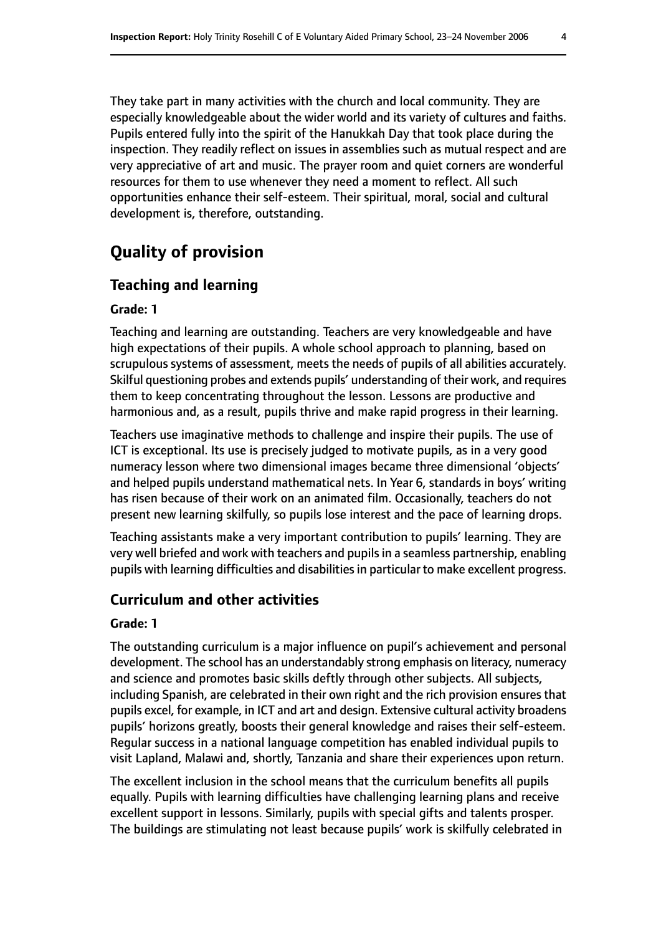They take part in many activities with the church and local community. They are especially knowledgeable about the wider world and its variety of cultures and faiths. Pupils entered fully into the spirit of the Hanukkah Day that took place during the inspection. They readily reflect on issues in assemblies such as mutual respect and are very appreciative of art and music. The prayer room and quiet corners are wonderful resources for them to use whenever they need a moment to reflect. All such opportunities enhance their self-esteem. Their spiritual, moral, social and cultural development is, therefore, outstanding.

# **Quality of provision**

### **Teaching and learning**

#### **Grade: 1**

Teaching and learning are outstanding. Teachers are very knowledgeable and have high expectations of their pupils. A whole school approach to planning, based on scrupulous systems of assessment, meets the needs of pupils of all abilities accurately. Skilful questioning probes and extends pupils' understanding of their work, and requires them to keep concentrating throughout the lesson. Lessons are productive and harmonious and, as a result, pupils thrive and make rapid progress in their learning.

Teachers use imaginative methods to challenge and inspire their pupils. The use of ICT is exceptional. Its use is precisely judged to motivate pupils, as in a very good numeracy lesson where two dimensional images became three dimensional 'objects' and helped pupils understand mathematical nets. In Year 6, standards in boys' writing has risen because of their work on an animated film. Occasionally, teachers do not present new learning skilfully, so pupils lose interest and the pace of learning drops.

Teaching assistants make a very important contribution to pupils' learning. They are very well briefed and work with teachers and pupils in a seamless partnership, enabling pupils with learning difficulties and disabilities in particular to make excellent progress.

#### **Curriculum and other activities**

#### **Grade: 1**

The outstanding curriculum is a major influence on pupil's achievement and personal development. The school has an understandably strong emphasis on literacy, numeracy and science and promotes basic skills deftly through other subjects. All subjects, including Spanish, are celebrated in their own right and the rich provision ensures that pupils excel, for example, in ICT and art and design. Extensive cultural activity broadens pupils' horizons greatly, boosts their general knowledge and raises their self-esteem. Regular success in a national language competition has enabled individual pupils to visit Lapland, Malawi and, shortly, Tanzania and share their experiences upon return.

The excellent inclusion in the school means that the curriculum benefits all pupils equally. Pupils with learning difficulties have challenging learning plans and receive excellent support in lessons. Similarly, pupils with special gifts and talents prosper. The buildings are stimulating not least because pupils' work is skilfully celebrated in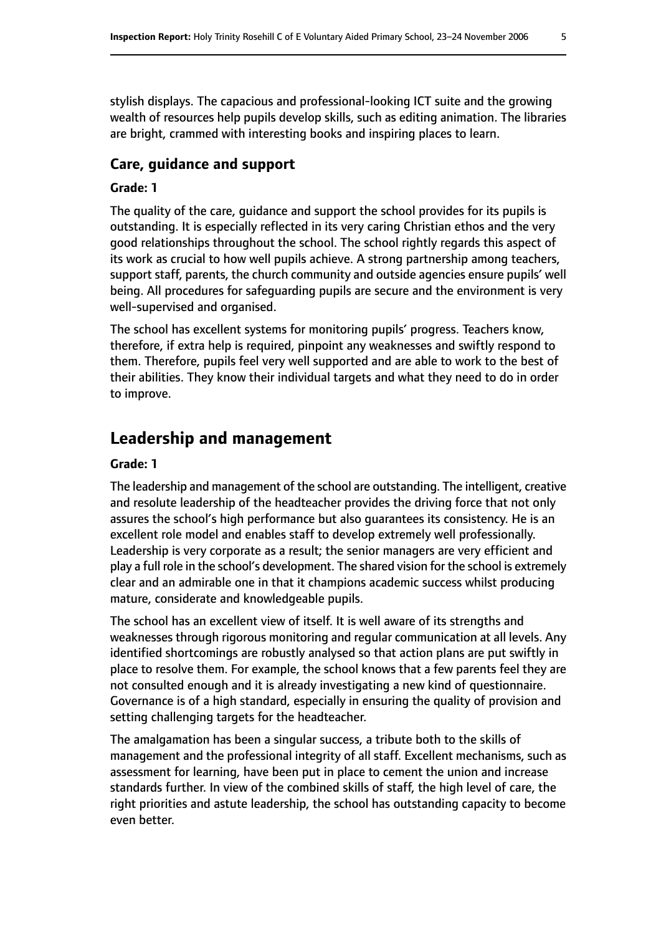stylish displays. The capacious and professional-looking ICT suite and the growing wealth of resources help pupils develop skills, such as editing animation. The libraries are bright, crammed with interesting books and inspiring places to learn.

#### **Care, guidance and support**

#### **Grade: 1**

The quality of the care, guidance and support the school provides for its pupils is outstanding. It is especially reflected in its very caring Christian ethos and the very good relationships throughout the school. The school rightly regards this aspect of its work as crucial to how well pupils achieve. A strong partnership among teachers, support staff, parents, the church community and outside agencies ensure pupils' well being. All procedures for safeguarding pupils are secure and the environment is very well-supervised and organised.

The school has excellent systems for monitoring pupils' progress. Teachers know, therefore, if extra help is required, pinpoint any weaknesses and swiftly respond to them. Therefore, pupils feel very well supported and are able to work to the best of their abilities. They know their individual targets and what they need to do in order to improve.

## **Leadership and management**

#### **Grade: 1**

The leadership and management of the school are outstanding. The intelligent, creative and resolute leadership of the headteacher provides the driving force that not only assures the school's high performance but also guarantees its consistency. He is an excellent role model and enables staff to develop extremely well professionally. Leadership is very corporate as a result; the senior managers are very efficient and play a full role in the school's development. The shared vision for the school is extremely clear and an admirable one in that it champions academic success whilst producing mature, considerate and knowledgeable pupils.

The school has an excellent view of itself. It is well aware of its strengths and weaknesses through rigorous monitoring and regular communication at all levels. Any identified shortcomings are robustly analysed so that action plans are put swiftly in place to resolve them. For example, the school knows that a few parents feel they are not consulted enough and it is already investigating a new kind of questionnaire. Governance is of a high standard, especially in ensuring the quality of provision and setting challenging targets for the headteacher.

The amalgamation has been a singular success, a tribute both to the skills of management and the professional integrity of all staff. Excellent mechanisms, such as assessment for learning, have been put in place to cement the union and increase standards further. In view of the combined skills of staff, the high level of care, the right priorities and astute leadership, the school has outstanding capacity to become even better.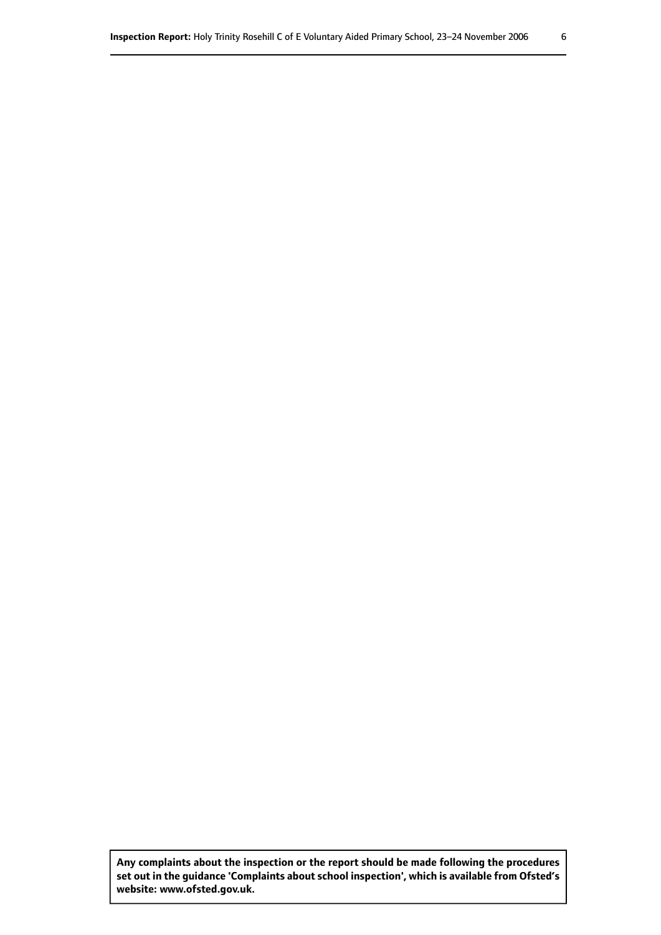**Any complaints about the inspection or the report should be made following the procedures set out inthe guidance 'Complaints about school inspection', whichis available from Ofsted's website: www.ofsted.gov.uk.**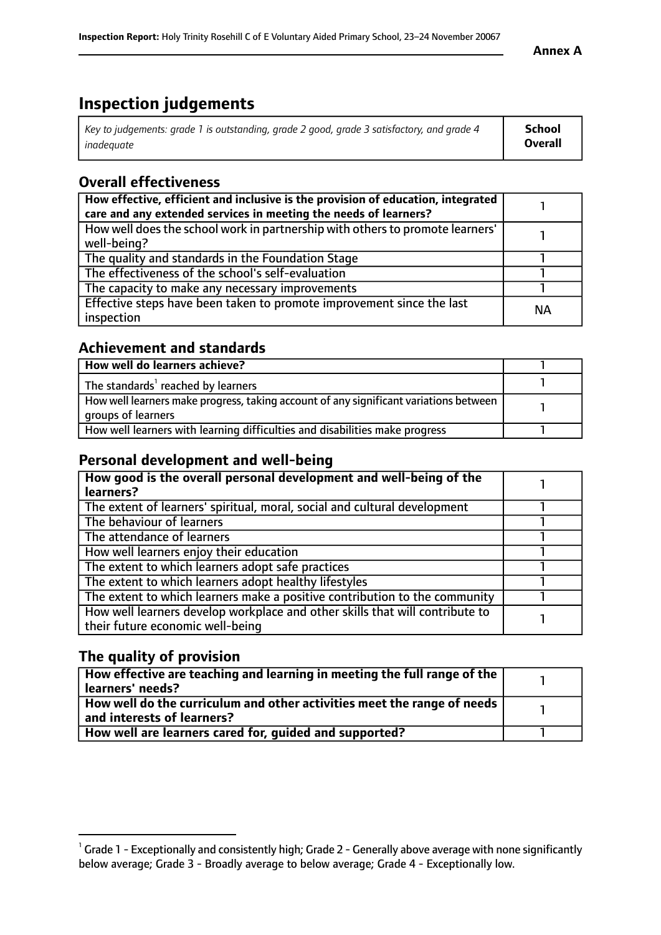# **Inspection judgements**

| Key to judgements: grade 1 is outstanding, grade 2 good, grade 3 satisfactory, and grade 4 | <b>School</b>  |
|--------------------------------------------------------------------------------------------|----------------|
| inadeauate                                                                                 | <b>Overall</b> |

## **Overall effectiveness**

| How effective, efficient and inclusive is the provision of education, integrated<br>care and any extended services in meeting the needs of learners? |           |
|------------------------------------------------------------------------------------------------------------------------------------------------------|-----------|
| How well does the school work in partnership with others to promote learners'<br>well-being?                                                         |           |
| The quality and standards in the Foundation Stage                                                                                                    |           |
| The effectiveness of the school's self-evaluation                                                                                                    |           |
| The capacity to make any necessary improvements                                                                                                      |           |
| Effective steps have been taken to promote improvement since the last<br>inspection                                                                  | <b>NA</b> |

## **Achievement and standards**

| How well do learners achieve?                                                                               |  |
|-------------------------------------------------------------------------------------------------------------|--|
| The standards <sup>1</sup> reached by learners                                                              |  |
| How well learners make progress, taking account of any significant variations between<br>groups of learners |  |
| How well learners with learning difficulties and disabilities make progress                                 |  |

## **Personal development and well-being**

| How good is the overall personal development and well-being of the                                               |  |
|------------------------------------------------------------------------------------------------------------------|--|
| learners?                                                                                                        |  |
| The extent of learners' spiritual, moral, social and cultural development                                        |  |
| The behaviour of learners                                                                                        |  |
| The attendance of learners                                                                                       |  |
| How well learners enjoy their education                                                                          |  |
| The extent to which learners adopt safe practices                                                                |  |
| The extent to which learners adopt healthy lifestyles                                                            |  |
| The extent to which learners make a positive contribution to the community                                       |  |
| How well learners develop workplace and other skills that will contribute to<br>their future economic well-being |  |

## **The quality of provision**

| How effective are teaching and learning in meeting the full range of the<br>  learners' needs?                      |  |
|---------------------------------------------------------------------------------------------------------------------|--|
| $\mid$ How well do the curriculum and other activities meet the range of needs<br>$\mid$ and interests of learners? |  |
| How well are learners cared for, quided and supported?                                                              |  |

 $^1$  Grade 1 - Exceptionally and consistently high; Grade 2 - Generally above average with none significantly below average; Grade 3 - Broadly average to below average; Grade 4 - Exceptionally low.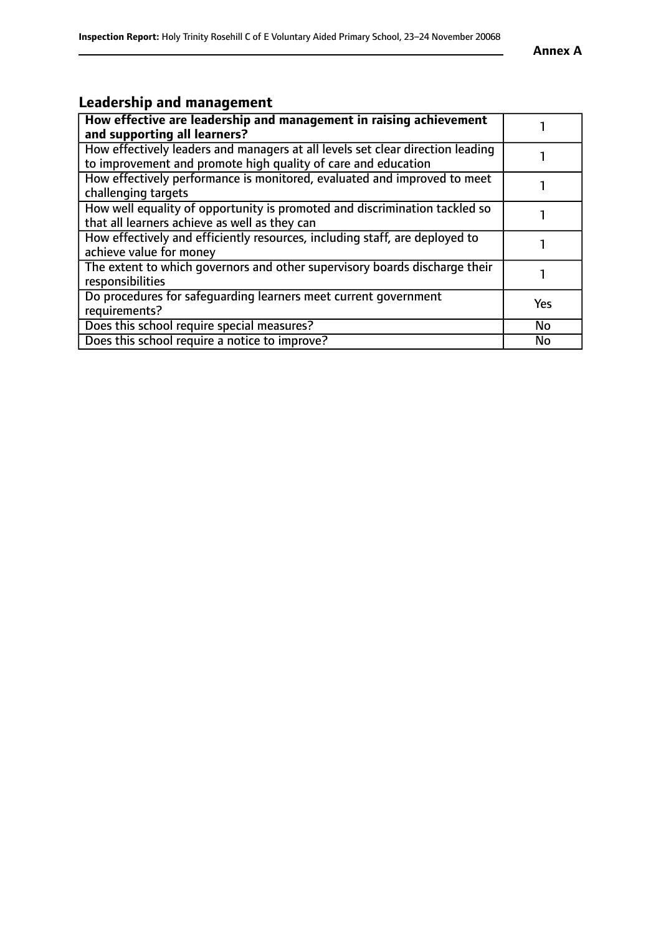# **Leadership and management**

| How effective are leadership and management in raising achievement<br>and supporting all learners?                                              |           |
|-------------------------------------------------------------------------------------------------------------------------------------------------|-----------|
| How effectively leaders and managers at all levels set clear direction leading<br>to improvement and promote high quality of care and education |           |
| How effectively performance is monitored, evaluated and improved to meet<br>challenging targets                                                 |           |
| How well equality of opportunity is promoted and discrimination tackled so<br>that all learners achieve as well as they can                     |           |
| How effectively and efficiently resources, including staff, are deployed to<br>achieve value for money                                          |           |
| The extent to which governors and other supervisory boards discharge their<br>responsibilities                                                  |           |
| Do procedures for safequarding learners meet current government<br>requirements?                                                                | Yes       |
| Does this school require special measures?                                                                                                      | <b>No</b> |
| Does this school require a notice to improve?                                                                                                   | No        |